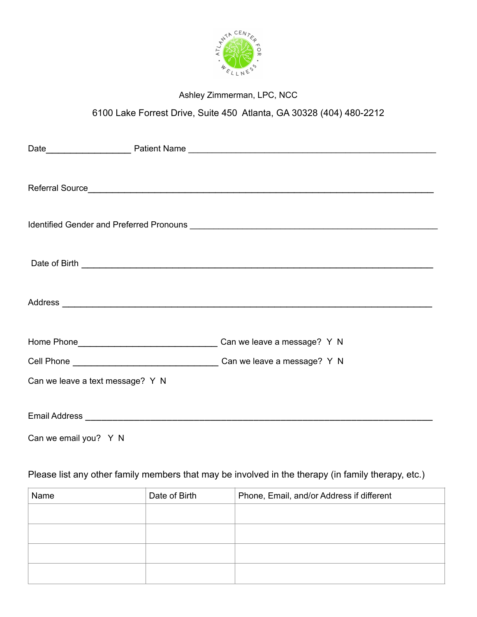

## Ashley Zimmerman, LPC, NCC

# 6100 Lake Forrest Drive, Suite 450 Atlanta, GA 30328 (404) 480-2212

| Can we leave a text message? Y N |  |  |
|----------------------------------|--|--|
|                                  |  |  |
| Can we email you? Y N            |  |  |

### Please list any other family members that may be involved in the therapy (in family therapy, etc.)

| Name | Date of Birth | Phone, Email, and/or Address if different |
|------|---------------|-------------------------------------------|
|      |               |                                           |
|      |               |                                           |
|      |               |                                           |
|      |               |                                           |
|      |               |                                           |